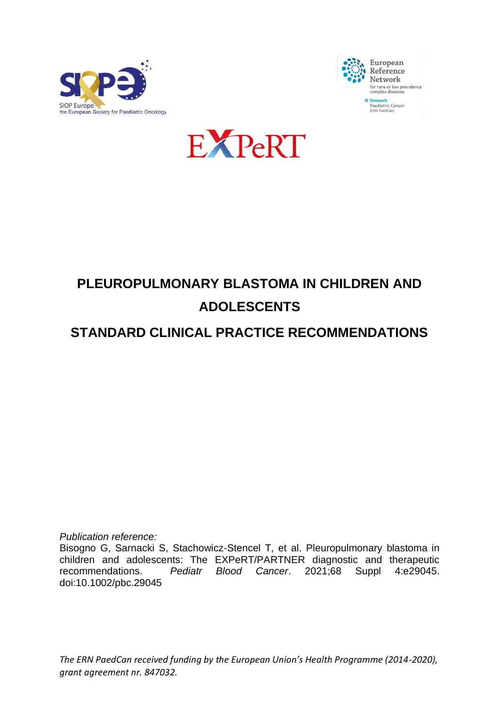





# **PLEUROPULMONARY BLASTOMA IN CHILDREN AND ADOLESCENTS**

# **STANDARD CLINICAL PRACTICE RECOMMENDATIONS**

*Publication reference:*

Bisogno G, Sarnacki S, Stachowicz-Stencel T, et al. Pleuropulmonary blastoma in children and adolescents: The EXPeRT/PARTNER diagnostic and therapeutic recommendations. *Pediatr Blood Cancer*. 2021;68 Suppl 4:e29045. doi:10.1002/pbc.29045

*The ERN PaedCan received funding by the European Union's Health Programme (2014-2020), grant agreement nr. 847032.*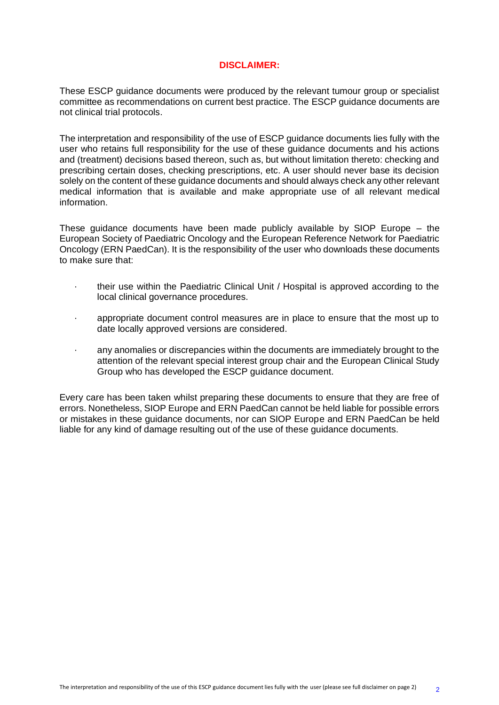#### **DISCLAIMER:**

These ESCP guidance documents were produced by the relevant tumour group or specialist committee as recommendations on current best practice. The ESCP guidance documents are not clinical trial protocols.

The interpretation and responsibility of the use of ESCP guidance documents lies fully with the user who retains full responsibility for the use of these guidance documents and his actions and (treatment) decisions based thereon, such as, but without limitation thereto: checking and prescribing certain doses, checking prescriptions, etc. A user should never base its decision solely on the content of these guidance documents and should always check any other relevant medical information that is available and make appropriate use of all relevant medical information.

These guidance documents have been made publicly available by SIOP Europe – the European Society of Paediatric Oncology and the European Reference Network for Paediatric Oncology (ERN PaedCan). It is the responsibility of the user who downloads these documents to make sure that:

- · their use within the Paediatric Clinical Unit / Hospital is approved according to the local clinical governance procedures.
- · appropriate document control measures are in place to ensure that the most up to date locally approved versions are considered.
- · any anomalies or discrepancies within the documents are immediately brought to the attention of the relevant special interest group chair and the European Clinical Study Group who has developed the ESCP guidance document.

Every care has been taken whilst preparing these documents to ensure that they are free of errors. Nonetheless, SIOP Europe and ERN PaedCan cannot be held liable for possible errors or mistakes in these guidance documents, nor can SIOP Europe and ERN PaedCan be held liable for any kind of damage resulting out of the use of these guidance documents.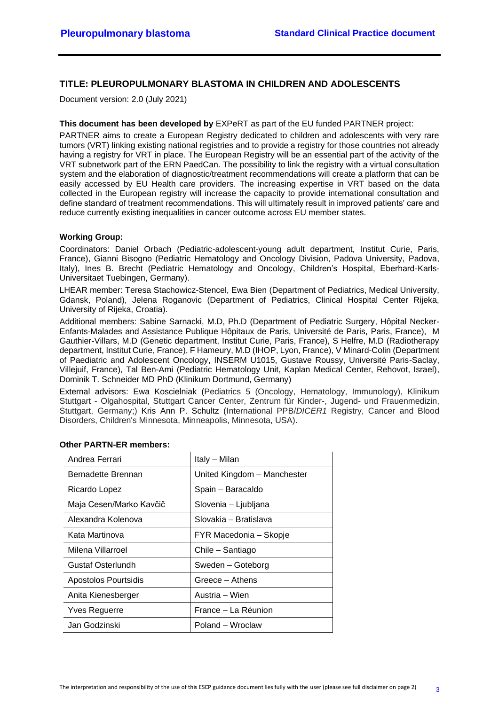#### **TITLE: PLEUROPULMONARY BLASTOMA IN CHILDREN AND ADOLESCENTS**

Document version: 2.0 (July 2021)

#### **This document has been developed by** EXPeRT as part of the EU funded PARTNER project:

PARTNER aims to create a European Registry dedicated to children and adolescents with very rare tumors (VRT) linking existing national registries and to provide a registry for those countries not already having a registry for VRT in place. The European Registry will be an essential part of the activity of the VRT subnetwork part of the ERN PaedCan. The possibility to link the registry with a virtual consultation system and the elaboration of diagnostic/treatment recommendations will create a platform that can be easily accessed by EU Health care providers. The increasing expertise in VRT based on the data collected in the European registry will increase the capacity to provide international consultation and define standard of treatment recommendations. This will ultimately result in improved patients' care and reduce currently existing inequalities in cancer outcome across EU member states.

#### **Working Group:**

Coordinators: Daniel Orbach (Pediatric-adolescent-young adult department, Institut Curie, Paris, France), Gianni Bisogno (Pediatric Hematology and Oncology Division, Padova University, Padova, Italy), Ines B. Brecht (Pediatric Hematology and Oncology, Children's Hospital, Eberhard-Karls-Universitaet Tuebingen, Germany).

LHEAR member: Teresa Stachowicz-Stencel, Ewa Bien (Department of Pediatrics, Medical University, Gdansk, Poland), Jelena Roganovic (Department of Pediatrics, Clinical Hospital Center Rijeka, University of Rijeka, Croatia).

Additional members: Sabine Sarnacki, M.D, Ph.D (Department of Pediatric Surgery, Hôpital Necker-Enfants-Malades and Assistance Publique Hôpitaux de Paris, Université de Paris, Paris, France), M Gauthier-Villars, M.D (Genetic department, Institut Curie, Paris, France), S Helfre, M.D (Radiotherapy department, Institut Curie, France), F Hameury, M.D (IHOP, Lyon, France), V Minard-Colin (Department of Paediatric and Adolescent Oncology, INSERM U1015, Gustave Roussy, Université Paris-Saclay, Villejuif, France), Tal Ben-Ami (Pediatric Hematology Unit, Kaplan Medical Center, Rehovot, Israel), Dominik T. Schneider MD PhD (Klinikum Dortmund, Germany)

External advisors: Ewa Koscielniak (Pediatrics 5 (Oncology, Hematology, Immunology), Klinikum Stuttgart - Olgahospital, Stuttgart Cancer Center, Zentrum für Kinder-, Jugend- und Frauenmedizin, Stuttgart, Germany;) Kris Ann P. Schultz (International PPB/*DICER1* Registry, Cancer and Blood Disorders, Children's Minnesota, Minneapolis, Minnesota, USA).

| Andrea Ferrari          | Italy - Milan               |
|-------------------------|-----------------------------|
| Bernadette Brennan      | United Kingdom - Manchester |
| Ricardo Lopez           | Spain – Baracaldo           |
| Maja Cesen/Marko Kavčič | Slovenia – Ljubljana        |
| Alexandra Kolenova      | Slovakia – Bratislava       |
| Kata Martinova          | FYR Macedonia – Skopje      |
| Milena Villarroel       | Chile - Santiago            |
| Gustaf Osterlundh       | Sweden - Goteborg           |
| Apostolos Pourtsidis    | Greece – Athens             |
| Anita Kienesberger      | Austria – Wien              |
| <b>Yves Reguerre</b>    | France - La Réunion         |
| Jan Godzinski           | Poland – Wroclaw            |

#### **Other PARTN-ER members:**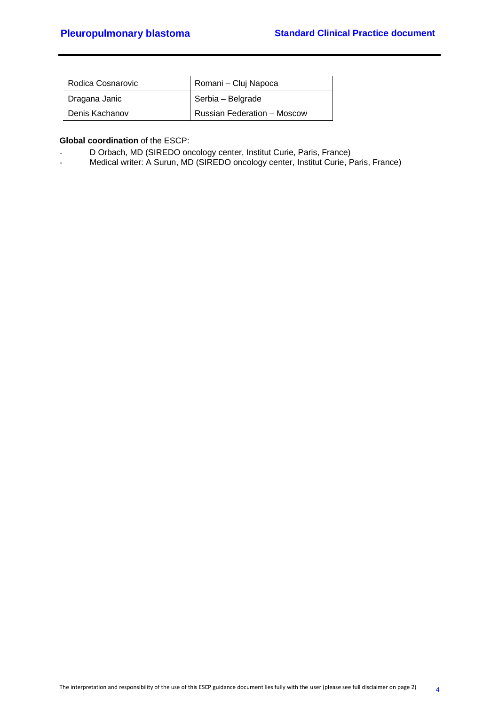| Rodica Cosnarovic | Romani - Cluj Napoca        |  |  |  |  |  |
|-------------------|-----------------------------|--|--|--|--|--|
| Dragana Janic     | Serbia - Belgrade           |  |  |  |  |  |
| Denis Kachanov    | Russian Federation - Moscow |  |  |  |  |  |

#### **Global coordination** of the ESCP:

- D Orbach, MD (SIREDO oncology center, Institut Curie, Paris, France)
- Medical writer: A Surun, MD (SIREDO oncology center, Institut Curie, Paris, France)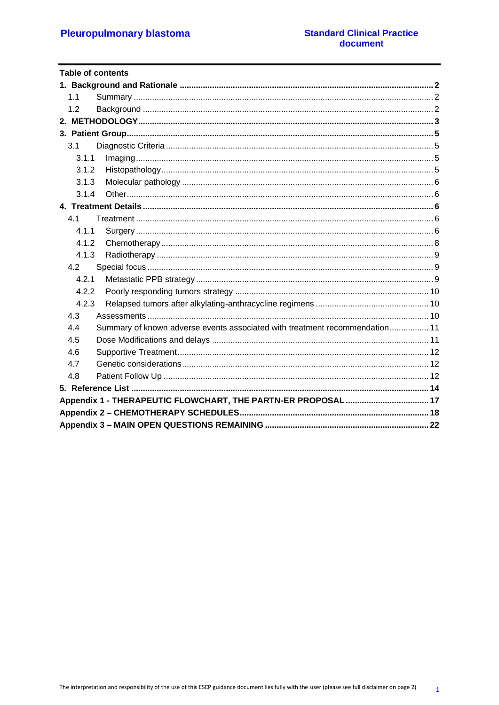| <b>Table of contents</b>                                                           |  |
|------------------------------------------------------------------------------------|--|
|                                                                                    |  |
| 1.1                                                                                |  |
| 1.2                                                                                |  |
|                                                                                    |  |
|                                                                                    |  |
| 3.1                                                                                |  |
| 3.1.1                                                                              |  |
| 3.1.2                                                                              |  |
| 3.1.3                                                                              |  |
| 3.1.4                                                                              |  |
|                                                                                    |  |
| 4.1                                                                                |  |
| 4.1.1                                                                              |  |
| 4.1.2                                                                              |  |
| 4.1.3                                                                              |  |
| 4.2                                                                                |  |
| 4.2.1                                                                              |  |
| 4.2.2                                                                              |  |
| 4.2.3                                                                              |  |
| 4.3                                                                                |  |
| Summary of known adverse events associated with treatment recommendation 11<br>4.4 |  |
| 4.5                                                                                |  |
| 4.6                                                                                |  |
| 4.7                                                                                |  |
| 4.8                                                                                |  |
|                                                                                    |  |
|                                                                                    |  |
|                                                                                    |  |
|                                                                                    |  |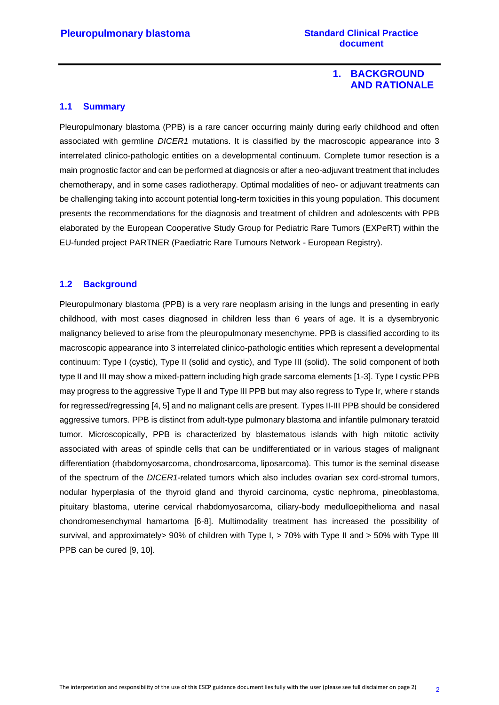#### **1. BACKGROUND AND RATIONALE**

#### <span id="page-5-1"></span><span id="page-5-0"></span>**1.1 Summary**

Pleuropulmonary blastoma (PPB) is a rare cancer occurring mainly during early childhood and often associated with germline *DICER1* mutations. It is classified by the macroscopic appearance into 3 interrelated clinico-pathologic entities on a developmental continuum. Complete tumor resection is a main prognostic factor and can be performed at diagnosis or after a neo-adjuvant treatment that includes chemotherapy, and in some cases radiotherapy. Optimal modalities of neo- or adjuvant treatments can be challenging taking into account potential long-term toxicities in this young population. This document presents the recommendations for the diagnosis and treatment of children and adolescents with PPB elaborated by the European Cooperative Study Group for Pediatric Rare Tumors (EXPeRT) within the EU-funded project PARTNER (Paediatric Rare Tumours Network - European Registry).

#### <span id="page-5-2"></span>**1.2 Background**

Pleuropulmonary blastoma (PPB) is a very rare neoplasm arising in the lungs and presenting in early childhood, with most cases diagnosed in children less than 6 years of age. It is a dysembryonic malignancy believed to arise from the pleuropulmonary mesenchyme. PPB is classified according to its macroscopic appearance into 3 interrelated clinico-pathologic entities which represent a developmental continuum: Type I (cystic), Type II (solid and cystic), and Type III (solid). The solid component of both type II and III may show a mixed-pattern including high grade sarcoma elements [1-3]. Type I cystic PPB may progress to the aggressive Type II and Type III PPB but may also regress to Type Ir, where r stands for regressed/regressing [4, 5] and no malignant cells are present. Types II-III PPB should be considered aggressive tumors. PPB is distinct from adult-type pulmonary blastoma and infantile pulmonary teratoid tumor. Microscopically, PPB is characterized by blastematous islands with high mitotic activity associated with areas of spindle cells that can be undifferentiated or in various stages of malignant differentiation (rhabdomyosarcoma, chondrosarcoma, liposarcoma). This tumor is the seminal disease of the spectrum of the *DICER1*-related tumors which also includes ovarian sex cord-stromal tumors, nodular hyperplasia of the thyroid gland and thyroid carcinoma, cystic nephroma, pineoblastoma, pituitary blastoma, uterine cervical rhabdomyosarcoma, ciliary-body medulloepithelioma and nasal chondromesenchymal hamartoma [6-8]. Multimodality treatment has increased the possibility of survival, and approximately> 90% of children with Type I, > 70% with Type II and > 50% with Type III PPB can be cured [9, 10].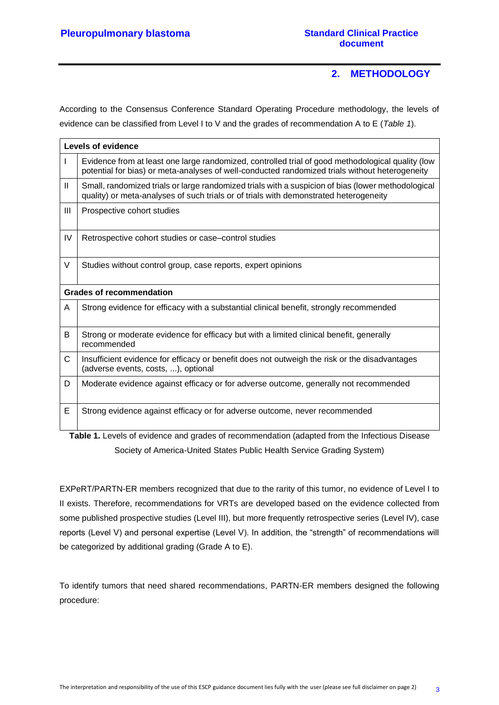### **2. METHODOLOGY**

<span id="page-6-0"></span>According to the Consensus Conference Standard Operating Procedure methodology, the levels of evidence can be classified from Level I to V and the grades of recommendation A to E (*Table 1*).

|    | Levels of evidence                                                                                                                                                                                  |
|----|-----------------------------------------------------------------------------------------------------------------------------------------------------------------------------------------------------|
|    | Evidence from at least one large randomized, controlled trial of good methodological quality (low<br>potential for bias) or meta-analyses of well-conducted randomized trials without heterogeneity |
| Ш  | Small, randomized trials or large randomized trials with a suspicion of bias (lower methodological<br>quality) or meta-analyses of such trials or of trials with demonstrated heterogeneity         |
| Ш  | Prospective cohort studies                                                                                                                                                                          |
| IV | Retrospective cohort studies or case–control studies                                                                                                                                                |
| V  | Studies without control group, case reports, expert opinions                                                                                                                                        |
|    | <b>Grades of recommendation</b>                                                                                                                                                                     |
| A  | Strong evidence for efficacy with a substantial clinical benefit, strongly recommended                                                                                                              |
| B  | Strong or moderate evidence for efficacy but with a limited clinical benefit, generally<br>recommended                                                                                              |
| C  | Insufficient evidence for efficacy or benefit does not outweigh the risk or the disadvantages<br>(adverse events, costs, ), optional                                                                |
| D  | Moderate evidence against efficacy or for adverse outcome, generally not recommended                                                                                                                |
| Е  | Strong evidence against efficacy or for adverse outcome, never recommended                                                                                                                          |

**Table 1.** Levels of evidence and grades of recommendation (adapted from the Infectious Disease Society of America-United States Public Health Service Grading System)

EXPeRT/PARTN-ER members recognized that due to the rarity of this tumor, no evidence of Level I to II exists. Therefore, recommendations for VRTs are developed based on the evidence collected from some published prospective studies (Level III), but more frequently retrospective series (Level IV), case reports (Level V) and personal expertise (Level V). In addition, the "strength" of recommendations will be categorized by additional grading (Grade A to E).

To identify tumors that need shared recommendations, PARTN-ER members designed the following procedure: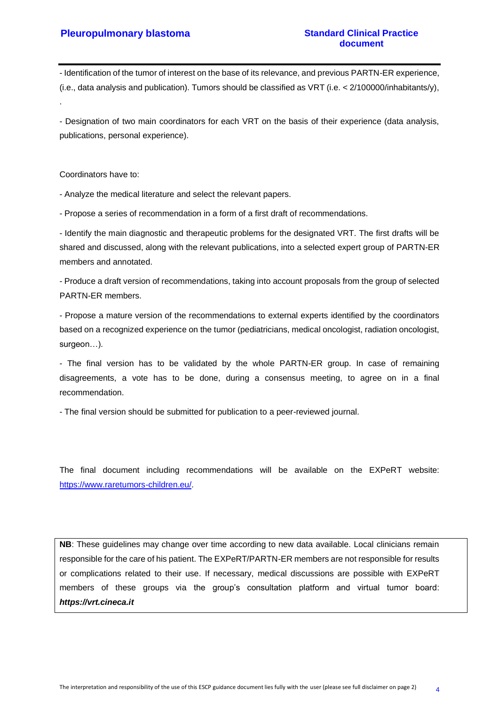- Identification of the tumor of interest on the base of its relevance, and previous PARTN-ER experience, (i.e., data analysis and publication). Tumors should be classified as VRT (i.e. < 2/100000/inhabitants/y), .

- Designation of two main coordinators for each VRT on the basis of their experience (data analysis, publications, personal experience).

Coordinators have to:

- Analyze the medical literature and select the relevant papers.

- Propose a series of recommendation in a form of a first draft of recommendations.

- Identify the main diagnostic and therapeutic problems for the designated VRT. The first drafts will be shared and discussed, along with the relevant publications, into a selected expert group of PARTN-ER members and annotated.

- Produce a draft version of recommendations, taking into account proposals from the group of selected PARTN-ER members.

- Propose a mature version of the recommendations to external experts identified by the coordinators based on a recognized experience on the tumor (pediatricians, medical oncologist, radiation oncologist, surgeon…).

- The final version has to be validated by the whole PARTN-ER group. In case of remaining disagreements, a vote has to be done, during a consensus meeting, to agree on in a final recommendation.

- The final version should be submitted for publication to a peer-reviewed journal.

The final document including recommendations will be available on the EXPeRT website: [https://www.raretumors-children.eu/.](https://www.raretumors-children.eu/)

NB: These guidelines may change over time according to new data available. Local clinicians remain responsible for the care of his patient. The EXPeRT/PARTN-ER members are not responsible for results or complications related to their use. If necessary, medical discussions are possible with EXPeRT members of these groups via the group's consultation platform and virtual tumor board: *https://vrt.cineca.it*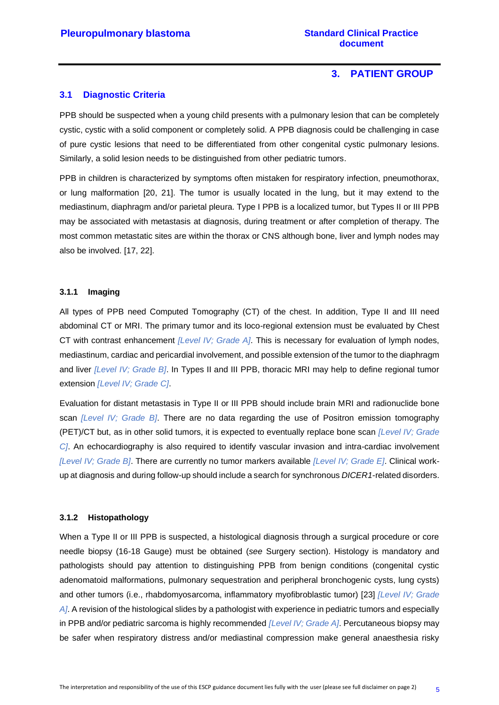#### **3. PATIENT GROUP**

#### <span id="page-8-1"></span><span id="page-8-0"></span>**3.1 Diagnostic Criteria**

PPB should be suspected when a young child presents with a pulmonary lesion that can be completely cystic, cystic with a solid component or completely solid. A PPB diagnosis could be challenging in case of pure cystic lesions that need to be differentiated from other congenital cystic pulmonary lesions. Similarly, a solid lesion needs to be distinguished from other pediatric tumors.

PPB in children is characterized by symptoms often mistaken for respiratory infection, pneumothorax, or lung malformation [20, 21]. The tumor is usually located in the lung, but it may extend to the mediastinum, diaphragm and/or parietal pleura. Type I PPB is a localized tumor, but Types II or III PPB may be associated with metastasis at diagnosis, during treatment or after completion of therapy. The most common metastatic sites are within the thorax or CNS although bone, liver and lymph nodes may also be involved. [17, 22].

#### <span id="page-8-2"></span>**3.1.1 Imaging**

All types of PPB need Computed Tomography (CT) of the chest. In addition, Type II and III need abdominal CT or MRI. The primary tumor and its loco-regional extension must be evaluated by Chest CT with contrast enhancement *[Level IV; Grade A]*. This is necessary for evaluation of lymph nodes, mediastinum, cardiac and pericardial involvement, and possible extension of the tumor to the diaphragm and liver *[Level IV; Grade B]*. In Types II and III PPB, thoracic MRI may help to define regional tumor extension *[Level IV; Grade C]*.

Evaluation for distant metastasis in Type II or III PPB should include brain MRI and radionuclide bone scan *[Level IV; Grade B]*. There are no data regarding the use of Positron emission tomography (PET)/CT but, as in other solid tumors, it is expected to eventually replace bone scan *[Level IV; Grade C]*. An echocardiography is also required to identify vascular invasion and intra-cardiac involvement *[Level IV; Grade B]*. There are currently no tumor markers available *[Level IV; Grade E]*. Clinical workup at diagnosis and during follow-up should include a search for synchronous *DICER1*-related disorders.

#### <span id="page-8-3"></span>**3.1.2 Histopathology**

When a Type II or III PPB is suspected, a histological diagnosis through a surgical procedure or core needle biopsy (16-18 Gauge) must be obtained (*see* Surgery section). Histology is mandatory and pathologists should pay attention to distinguishing PPB from benign conditions (congenital cystic adenomatoid malformations, pulmonary sequestration and peripheral bronchogenic cysts, lung cysts) and other tumors (i.e., rhabdomyosarcoma, inflammatory myofibroblastic tumor) [23] *[Level IV; Grade A]*. A revision of the histological slides by a pathologist with experience in pediatric tumors and especially in PPB and/or pediatric sarcoma is highly recommended *[Level IV; Grade A]*. Percutaneous biopsy may be safer when respiratory distress and/or mediastinal compression make general anaesthesia risky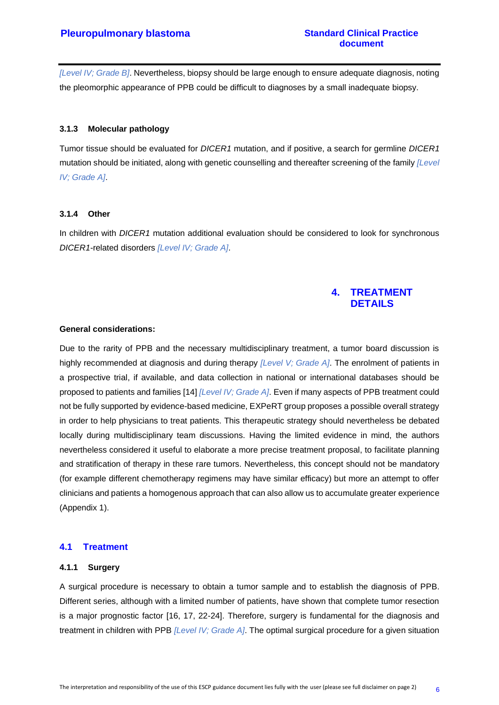*[Level IV; Grade B]*. Nevertheless, biopsy should be large enough to ensure adequate diagnosis, noting the pleomorphic appearance of PPB could be difficult to diagnoses by a small inadequate biopsy.

#### <span id="page-9-0"></span>**3.1.3 Molecular pathology**

Tumor tissue should be evaluated for *DICER1* mutation, and if positive, a search for germline *DICER1* mutation should be initiated, along with genetic counselling and thereafter screening of the family *[Level IV; Grade A]*.

#### <span id="page-9-1"></span>**3.1.4 Other**

<span id="page-9-2"></span>In children with *DICER1* mutation additional evaluation should be considered to look for synchronous *DICER1*-related disorders *[Level IV; Grade A]*.

#### **4. TREATMENT DETAILS**

#### **General considerations:**

Due to the rarity of PPB and the necessary multidisciplinary treatment, a tumor board discussion is highly recommended at diagnosis and during therapy *[Level V; Grade A]*. The enrolment of patients in a prospective trial, if available, and data collection in national or international databases should be proposed to patients and families [14] *[Level IV; Grade A]*. Even if many aspects of PPB treatment could not be fully supported by evidence-based medicine, EXPeRT group proposes a possible overall strategy in order to help physicians to treat patients. This therapeutic strategy should nevertheless be debated locally during multidisciplinary team discussions. Having the limited evidence in mind, the authors nevertheless considered it useful to elaborate a more precise treatment proposal, to facilitate planning and stratification of therapy in these rare tumors. Nevertheless, this concept should not be mandatory (for example different chemotherapy regimens may have similar efficacy) but more an attempt to offer clinicians and patients a homogenous approach that can also allow us to accumulate greater experience (Appendix 1).

#### <span id="page-9-3"></span>**4.1 Treatment**

#### <span id="page-9-4"></span>**4.1.1 Surgery**

A surgical procedure is necessary to obtain a tumor sample and to establish the diagnosis of PPB. Different series, although with a limited number of patients, have shown that complete tumor resection is a major prognostic factor [16, 17, 22-24]. Therefore, surgery is fundamental for the diagnosis and treatment in children with PPB *[Level IV; Grade A]*. The optimal surgical procedure for a given situation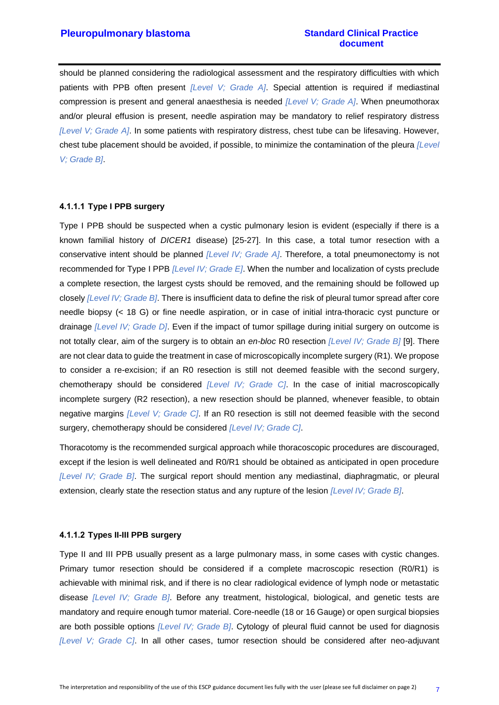should be planned considering the radiological assessment and the respiratory difficulties with which patients with PPB often present *[Level V; Grade A]*. Special attention is required if mediastinal compression is present and general anaesthesia is needed *[Level V; Grade A]*. When pneumothorax and/or pleural effusion is present, needle aspiration may be mandatory to relief respiratory distress *[Level V; Grade A]*. In some patients with respiratory distress, chest tube can be lifesaving. However, chest tube placement should be avoided, if possible, to minimize the contamination of the pleura *[Level V; Grade B]*.

#### **4.1.1.1 Type I PPB surgery**

Type I PPB should be suspected when a cystic pulmonary lesion is evident (especially if there is a known familial history of *DICER1* disease) [25-27]. In this case, a total tumor resection with a conservative intent should be planned *[Level IV; Grade A]*. Therefore, a total pneumonectomy is not recommended for Type I PPB *[Level IV; Grade E]*. When the number and localization of cysts preclude a complete resection, the largest cysts should be removed, and the remaining should be followed up closely *[Level IV; Grade B]*. There is insufficient data to define the risk of pleural tumor spread after core needle biopsy (< 18 G) or fine needle aspiration, or in case of initial intra-thoracic cyst puncture or drainage *[Level IV; Grade D]*. Even if the impact of tumor spillage during initial surgery on outcome is not totally clear, aim of the surgery is to obtain an *en-bloc* R0 resection *[Level IV; Grade B]* [9]. There are not clear data to guide the treatment in case of microscopically incomplete surgery (R1). We propose to consider a re-excision; if an R0 resection is still not deemed feasible with the second surgery, chemotherapy should be considered *[Level IV; Grade C]*. In the case of initial macroscopically incomplete surgery (R2 resection), a new resection should be planned, whenever feasible, to obtain negative margins *[Level V; Grade C]*. If an R0 resection is still not deemed feasible with the second surgery, chemotherapy should be considered *[Level IV; Grade C]*.

Thoracotomy is the recommended surgical approach while thoracoscopic procedures are discouraged, except if the lesion is well delineated and R0/R1 should be obtained as anticipated in open procedure *[Level IV; Grade B]*. The surgical report should mention any mediastinal, diaphragmatic, or pleural extension, clearly state the resection status and any rupture of the lesion *[Level IV; Grade B]*.

#### **4.1.1.2 Types II-III PPB surgery**

Type II and III PPB usually present as a large pulmonary mass, in some cases with cystic changes. Primary tumor resection should be considered if a complete macroscopic resection (R0/R1) is achievable with minimal risk, and if there is no clear radiological evidence of lymph node or metastatic disease *[Level IV; Grade B]*. Before any treatment, histological, biological, and genetic tests are mandatory and require enough tumor material. Core-needle (18 or 16 Gauge) or open surgical biopsies are both possible options *[Level IV; Grade B]*. Cytology of pleural fluid cannot be used for diagnosis *[Level V; Grade C]*. In all other cases, tumor resection should be considered after neo-adjuvant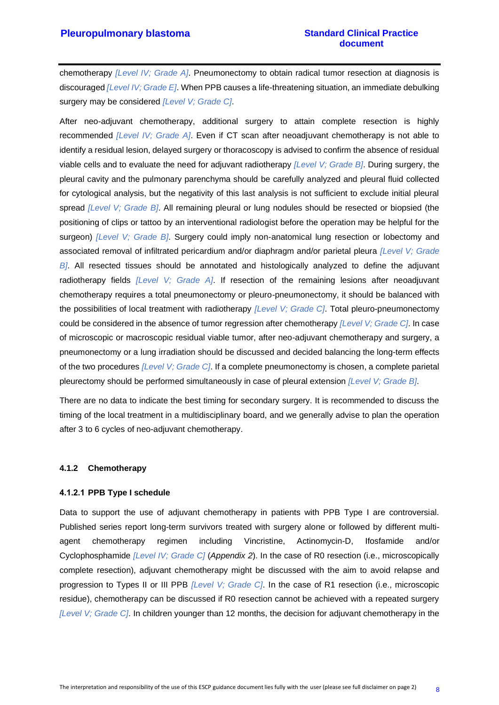chemotherapy *[Level IV; Grade A]*. Pneumonectomy to obtain radical tumor resection at diagnosis is discouraged *[Level IV; Grade E]*. When PPB causes a life-threatening situation, an immediate debulking surgery may be considered *[Level V; Grade C]*.

After neo-adjuvant chemotherapy, additional surgery to attain complete resection is highly recommended *[Level IV; Grade A]*. Even if CT scan after neoadjuvant chemotherapy is not able to identify a residual lesion, delayed surgery or thoracoscopy is advised to confirm the absence of residual viable cells and to evaluate the need for adjuvant radiotherapy *[Level V; Grade B]*. During surgery, the pleural cavity and the pulmonary parenchyma should be carefully analyzed and pleural fluid collected for cytological analysis, but the negativity of this last analysis is not sufficient to exclude initial pleural spread *[Level V; Grade B]*. All remaining pleural or lung nodules should be resected or biopsied (the positioning of clips or tattoo by an interventional radiologist before the operation may be helpful for the surgeon) *[Level V; Grade B]*. Surgery could imply non-anatomical lung resection or lobectomy and associated removal of infiltrated pericardium and/or diaphragm and/or parietal pleura *[Level V; Grade B]*. All resected tissues should be annotated and histologically analyzed to define the adjuvant radiotherapy fields *[Level V; Grade A]*. If resection of the remaining lesions after neoadjuvant chemotherapy requires a total pneumonectomy or pleuro-pneumonectomy, it should be balanced with the possibilities of local treatment with radiotherapy *[Level V; Grade C]*. Total pleuro-pneumonectomy could be considered in the absence of tumor regression after chemotherapy *[Level V; Grade C]*. In case of microscopic or macroscopic residual viable tumor, after neo-adjuvant chemotherapy and surgery, a pneumonectomy or a lung irradiation should be discussed and decided balancing the long-term effects of the two procedures *[Level V; Grade C]*. If a complete pneumonectomy is chosen, a complete parietal pleurectomy should be performed simultaneously in case of pleural extension *[Level V; Grade B]*.

There are no data to indicate the best timing for secondary surgery. It is recommended to discuss the timing of the local treatment in a multidisciplinary board, and we generally advise to plan the operation after 3 to 6 cycles of neo-adjuvant chemotherapy.

#### <span id="page-11-0"></span>**4.1.2 Chemotherapy**

#### **4.1.2.1 PPB Type I schedule**

Data to support the use of adjuvant chemotherapy in patients with PPB Type I are controversial. Published series report long-term survivors treated with surgery alone or followed by different multiagent chemotherapy regimen including Vincristine, Actinomycin-D, Ifosfamide and/or Cyclophosphamide *[Level IV; Grade C]* (*Appendix 2*). In the case of R0 resection (i.e., microscopically complete resection), adjuvant chemotherapy might be discussed with the aim to avoid relapse and progression to Types II or III PPB *[Level V; Grade C]*. In the case of R1 resection (i.e., microscopic residue), chemotherapy can be discussed if R0 resection cannot be achieved with a repeated surgery *[Level V; Grade C]*. In children younger than 12 months, the decision for adjuvant chemotherapy in the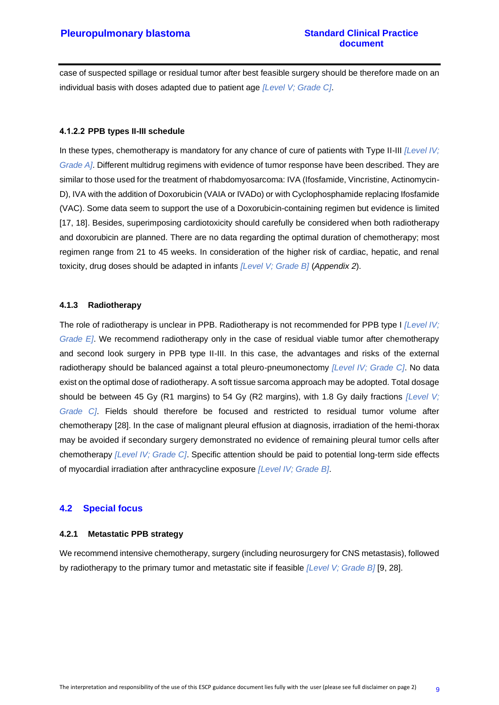case of suspected spillage or residual tumor after best feasible surgery should be therefore made on an individual basis with doses adapted due to patient age *[Level V; Grade C]*.

#### **4.1.2.2 PPB types II-III schedule**

In these types, chemotherapy is mandatory for any chance of cure of patients with Type II-III *[Level IV; Grade A]*. Different multidrug regimens with evidence of tumor response have been described. They are similar to those used for the treatment of rhabdomyosarcoma: IVA (Ifosfamide, Vincristine, Actinomycin-D), IVA with the addition of Doxorubicin (VAIA or IVADo) or with Cyclophosphamide replacing Ifosfamide (VAC). Some data seem to support the use of a Doxorubicin-containing regimen but evidence is limited [17, 18]. Besides, superimposing cardiotoxicity should carefully be considered when both radiotherapy and doxorubicin are planned. There are no data regarding the optimal duration of chemotherapy; most regimen range from 21 to 45 weeks. In consideration of the higher risk of cardiac, hepatic, and renal toxicity, drug doses should be adapted in infants *[Level V; Grade B]* (*Appendix 2*).

#### <span id="page-12-0"></span>**4.1.3 Radiotherapy**

The role of radiotherapy is unclear in PPB. Radiotherapy is not recommended for PPB type I *[Level IV; Grade E]*. We recommend radiotherapy only in the case of residual viable tumor after chemotherapy and second look surgery in PPB type II-III. In this case, the advantages and risks of the external radiotherapy should be balanced against a total pleuro-pneumonectomy *[Level IV; Grade C]*. No data exist on the optimal dose of radiotherapy. A soft tissue sarcoma approach may be adopted. Total dosage should be between 45 Gy (R1 margins) to 54 Gy (R2 margins), with 1.8 Gy daily fractions *[Level V; Grade C]*. Fields should therefore be focused and restricted to residual tumor volume after chemotherapy [28]. In the case of malignant pleural effusion at diagnosis, irradiation of the hemi-thorax may be avoided if secondary surgery demonstrated no evidence of remaining pleural tumor cells after chemotherapy *[Level IV; Grade C]*. Specific attention should be paid to potential long-term side effects of myocardial irradiation after anthracycline exposure *[Level IV; Grade B]*.

#### <span id="page-12-1"></span>**4.2 Special focus**

#### <span id="page-12-2"></span>**4.2.1 Metastatic PPB strategy**

We recommend intensive chemotherapy, surgery (including neurosurgery for CNS metastasis), followed by radiotherapy to the primary tumor and metastatic site if feasible *[Level V; Grade B]* [9, 28].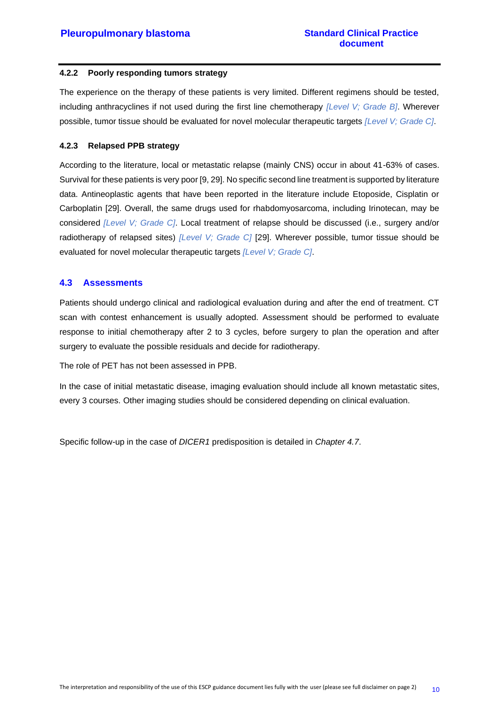#### <span id="page-13-0"></span>**4.2.2 Poorly responding tumors strategy**

The experience on the therapy of these patients is very limited. Different regimens should be tested, including anthracyclines if not used during the first line chemotherapy *[Level V; Grade B]*. Wherever possible, tumor tissue should be evaluated for novel molecular therapeutic targets *[Level V; Grade C]*.

#### <span id="page-13-1"></span>**4.2.3 Relapsed PPB strategy**

According to the literature, local or metastatic relapse (mainly CNS) occur in about 41-63% of cases. Survival for these patients is very poor [9, 29]. No specific second line treatment is supported by literature data. Antineoplastic agents that have been reported in the literature include Etoposide, Cisplatin or Carboplatin [29]. Overall, the same drugs used for rhabdomyosarcoma, including Irinotecan, may be considered *[Level V; Grade C]*. Local treatment of relapse should be discussed (i.e., surgery and/or radiotherapy of relapsed sites) *[Level V; Grade C]* [29]. Wherever possible, tumor tissue should be evaluated for novel molecular therapeutic targets *[Level V; Grade C]*.

#### <span id="page-13-2"></span>**4.3 Assessments**

Patients should undergo clinical and radiological evaluation during and after the end of treatment. CT scan with contest enhancement is usually adopted. Assessment should be performed to evaluate response to initial chemotherapy after 2 to 3 cycles, before surgery to plan the operation and after surgery to evaluate the possible residuals and decide for radiotherapy.

The role of PET has not been assessed in PPB.

In the case of initial metastatic disease, imaging evaluation should include all known metastatic sites, every 3 courses. Other imaging studies should be considered depending on clinical evaluation.

Specific follow-up in the case of *DICER1* predisposition is detailed in *Chapter 4.7*.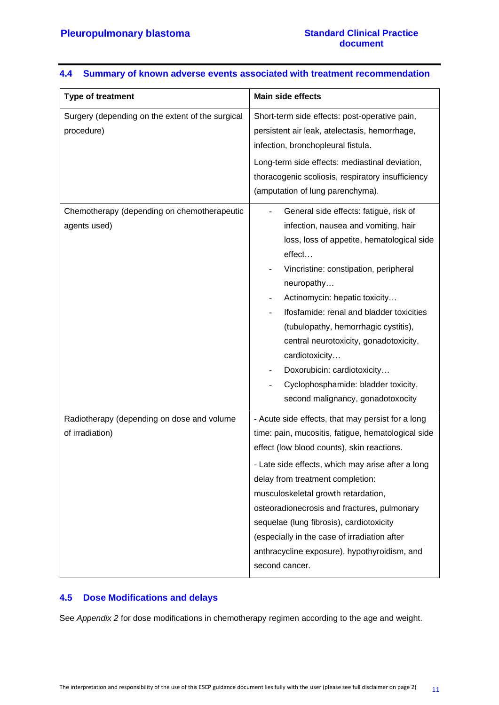| Type of treatment                                              | <b>Main side effects</b>                                                                                                                                                                                                                                                                                                                                                                                                                                                                           |
|----------------------------------------------------------------|----------------------------------------------------------------------------------------------------------------------------------------------------------------------------------------------------------------------------------------------------------------------------------------------------------------------------------------------------------------------------------------------------------------------------------------------------------------------------------------------------|
| Surgery (depending on the extent of the surgical<br>procedure) | Short-term side effects: post-operative pain,<br>persistent air leak, atelectasis, hemorrhage,<br>infection, bronchopleural fistula.<br>Long-term side effects: mediastinal deviation,<br>thoracogenic scoliosis, respiratory insufficiency<br>(amputation of lung parenchyma).                                                                                                                                                                                                                    |
| Chemotherapy (depending on chemotherapeutic<br>agents used)    | General side effects: fatigue, risk of<br>infection, nausea and vomiting, hair<br>loss, loss of appetite, hematological side<br>effect<br>Vincristine: constipation, peripheral<br>neuropathy<br>Actinomycin: hepatic toxicity<br>Ifosfamide: renal and bladder toxicities<br>(tubulopathy, hemorrhagic cystitis),<br>central neurotoxicity, gonadotoxicity,<br>cardiotoxicity<br>Doxorubicin: cardiotoxicity<br>Cyclophosphamide: bladder toxicity,<br>second malignancy, gonadotoxocity          |
| Radiotherapy (depending on dose and volume<br>of irradiation)  | - Acute side effects, that may persist for a long<br>time: pain, mucositis, fatigue, hematological side<br>effect (low blood counts), skin reactions.<br>- Late side effects, which may arise after a long<br>delay from treatment completion:<br>musculoskeletal growth retardation,<br>osteoradionecrosis and fractures, pulmonary<br>sequelae (lung fibrosis), cardiotoxicity<br>(especially in the case of irradiation after<br>anthracycline exposure), hypothyroidism, and<br>second cancer. |

#### <span id="page-14-0"></span>**4.4 Summary of known adverse events associated with treatment recommendation**

#### <span id="page-14-1"></span>**4.5 Dose Modifications and delays**

See *Appendix 2* for dose modifications in chemotherapy regimen according to the age and weight.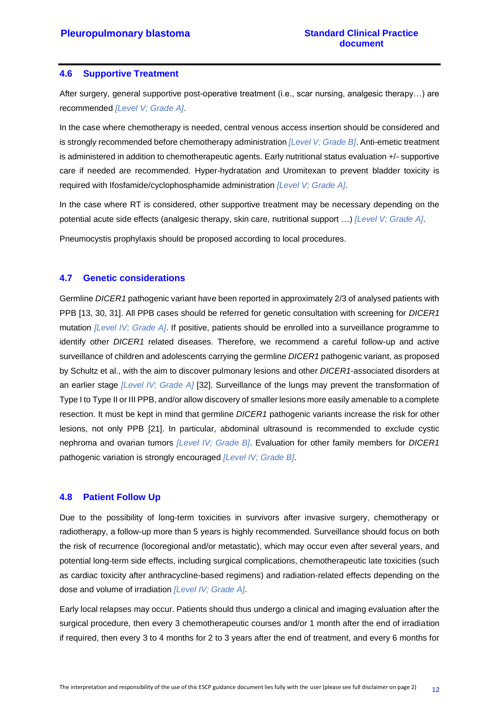#### <span id="page-15-0"></span>**4.6 Supportive Treatment**

After surgery, general supportive post-operative treatment (i.e., scar nursing, analgesic therapy…) are recommended *[Level V; Grade A]*.

In the case where chemotherapy is needed, central venous access insertion should be considered and is strongly recommended before chemotherapy administration *[Level V; Grade B]*. Anti-emetic treatment is administered in addition to chemotherapeutic agents. Early nutritional status evaluation +/- supportive care if needed are recommended. Hyper-hydratation and Uromitexan to prevent bladder toxicity is required with Ifosfamide/cyclophosphamide administration *[Level V; Grade A]*.

In the case where RT is considered, other supportive treatment may be necessary depending on the potential acute side effects (analgesic therapy, skin care, nutritional support …) *[Level V; Grade A]*.

Pneumocystis prophylaxis should be proposed according to local procedures.

#### <span id="page-15-1"></span>**4.7 Genetic considerations**

Germline *DICER1* pathogenic variant have been reported in approximately 2/3 of analysed patients with PPB [13, 30, 31]. All PPB cases should be referred for genetic consultation with screening for *DICER1*  mutation *[Level IV; Grade A]*. If positive, patients should be enrolled into a surveillance programme to identify other *DICER1* related diseases. Therefore, we recommend a careful follow-up and active surveillance of children and adolescents carrying the germline *DICER1* pathogenic variant, as proposed by Schultz et al., with the aim to discover pulmonary lesions and other *DICER1*-associated disorders at an earlier stage *[Level IV; Grade A]* [32]. Surveillance of the lungs may prevent the transformation of Type I to Type II or III PPB, and/or allow discovery of smaller lesions more easily amenable to a complete resection. It must be kept in mind that germline *DICER1* pathogenic variants increase the risk for other lesions, not only PPB [21]. In particular, abdominal ultrasound is recommended to exclude cystic nephroma and ovarian tumors *[Level IV; Grade B]*. Evaluation for other family members for *DICER1* pathogenic variation is strongly encouraged *[Level IV; Grade B]*.

#### <span id="page-15-2"></span>**4.8 Patient Follow Up**

Due to the possibility of long-term toxicities in survivors after invasive surgery, chemotherapy or radiotherapy, a follow-up more than 5 years is highly recommended. Surveillance should focus on both the risk of recurrence (locoregional and/or metastatic), which may occur even after several years, and potential long-term side effects, including surgical complications, chemotherapeutic late toxicities (such as cardiac toxicity after anthracycline-based regimens) and radiation-related effects depending on the dose and volume of irradiation *[Level IV; Grade A]*.

Early local relapses may occur. Patients should thus undergo a clinical and imaging evaluation after the surgical procedure, then every 3 chemotherapeutic courses and/or 1 month after the end of irradiation if required, then every 3 to 4 months for 2 to 3 years after the end of treatment, and every 6 months for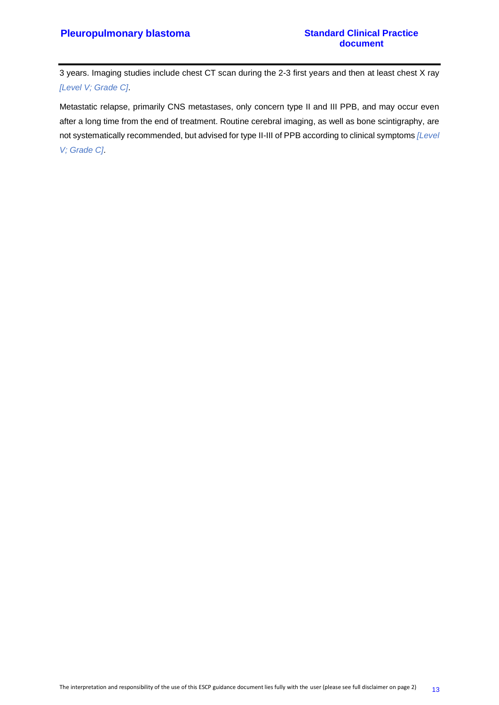3 years. Imaging studies include chest CT scan during the 2-3 first years and then at least chest X ray *[Level V; Grade C]*.

Metastatic relapse, primarily CNS metastases, only concern type II and III PPB, and may occur even after a long time from the end of treatment. Routine cerebral imaging, as well as bone scintigraphy, are not systematically recommended, but advised for type II-III of PPB according to clinical symptoms *[Level V; Grade C]*.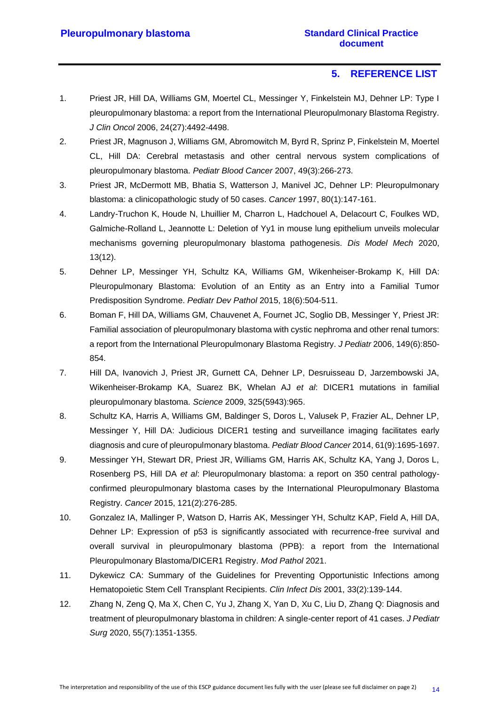# **5. REFERENCE LIST**

- <span id="page-17-0"></span>1. Priest JR, Hill DA, Williams GM, Moertel CL, Messinger Y, Finkelstein MJ, Dehner LP: Type I pleuropulmonary blastoma: a report from the International Pleuropulmonary Blastoma Registry. *J Clin Oncol* 2006, 24(27):4492-4498.
- 2. Priest JR, Magnuson J, Williams GM, Abromowitch M, Byrd R, Sprinz P, Finkelstein M, Moertel CL, Hill DA: Cerebral metastasis and other central nervous system complications of pleuropulmonary blastoma. *Pediatr Blood Cancer* 2007, 49(3):266-273.
- 3. Priest JR, McDermott MB, Bhatia S, Watterson J, Manivel JC, Dehner LP: Pleuropulmonary blastoma: a clinicopathologic study of 50 cases. *Cancer* 1997, 80(1):147-161.
- 4. Landry-Truchon K, Houde N, Lhuillier M, Charron L, Hadchouel A, Delacourt C, Foulkes WD, Galmiche-Rolland L, Jeannotte L: Deletion of Yy1 in mouse lung epithelium unveils molecular mechanisms governing pleuropulmonary blastoma pathogenesis. *Dis Model Mech* 2020, 13(12).
- 5. Dehner LP, Messinger YH, Schultz KA, Williams GM, Wikenheiser-Brokamp K, Hill DA: Pleuropulmonary Blastoma: Evolution of an Entity as an Entry into a Familial Tumor Predisposition Syndrome. *Pediatr Dev Pathol* 2015, 18(6):504-511.
- 6. Boman F, Hill DA, Williams GM, Chauvenet A, Fournet JC, Soglio DB, Messinger Y, Priest JR: Familial association of pleuropulmonary blastoma with cystic nephroma and other renal tumors: a report from the International Pleuropulmonary Blastoma Registry. *J Pediatr* 2006, 149(6):850- 854.
- 7. Hill DA, Ivanovich J, Priest JR, Gurnett CA, Dehner LP, Desruisseau D, Jarzembowski JA, Wikenheiser-Brokamp KA, Suarez BK, Whelan AJ *et al*: DICER1 mutations in familial pleuropulmonary blastoma. *Science* 2009, 325(5943):965.
- 8. Schultz KA, Harris A, Williams GM, Baldinger S, Doros L, Valusek P, Frazier AL, Dehner LP, Messinger Y, Hill DA: Judicious DICER1 testing and surveillance imaging facilitates early diagnosis and cure of pleuropulmonary blastoma. *Pediatr Blood Cancer* 2014, 61(9):1695-1697.
- 9. Messinger YH, Stewart DR, Priest JR, Williams GM, Harris AK, Schultz KA, Yang J, Doros L, Rosenberg PS, Hill DA *et al*: Pleuropulmonary blastoma: a report on 350 central pathologyconfirmed pleuropulmonary blastoma cases by the International Pleuropulmonary Blastoma Registry. *Cancer* 2015, 121(2):276-285.
- 10. Gonzalez IA, Mallinger P, Watson D, Harris AK, Messinger YH, Schultz KAP, Field A, Hill DA, Dehner LP: Expression of p53 is significantly associated with recurrence-free survival and overall survival in pleuropulmonary blastoma (PPB): a report from the International Pleuropulmonary Blastoma/DICER1 Registry. *Mod Pathol* 2021.
- 11. Dykewicz CA: Summary of the Guidelines for Preventing Opportunistic Infections among Hematopoietic Stem Cell Transplant Recipients. *Clin Infect Dis* 2001, 33(2):139-144.
- 12. Zhang N, Zeng Q, Ma X, Chen C, Yu J, Zhang X, Yan D, Xu C, Liu D, Zhang Q: Diagnosis and treatment of pleuropulmonary blastoma in children: A single-center report of 41 cases. *J Pediatr Surg* 2020, 55(7):1351-1355.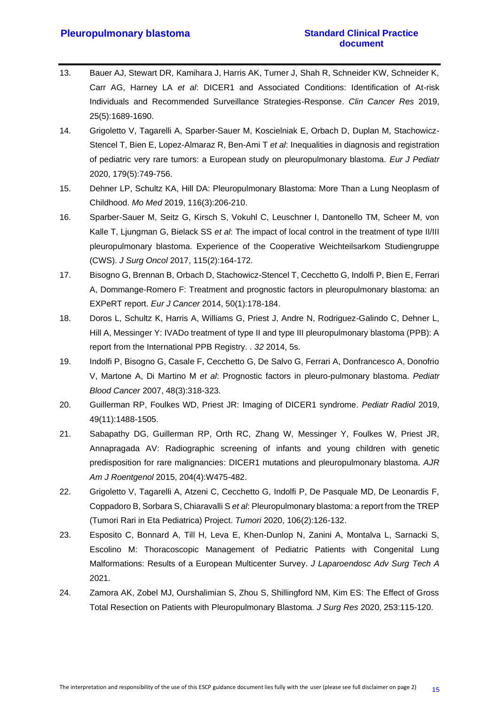- 13. Bauer AJ, Stewart DR, Kamihara J, Harris AK, Turner J, Shah R, Schneider KW, Schneider K, Carr AG, Harney LA *et al*: DICER1 and Associated Conditions: Identification of At-risk Individuals and Recommended Surveillance Strategies-Response. *Clin Cancer Res* 2019, 25(5):1689-1690.
- 14. Grigoletto V, Tagarelli A, Sparber-Sauer M, Koscielniak E, Orbach D, Duplan M, Stachowicz-Stencel T, Bien E, Lopez-Almaraz R, Ben-Ami T *et al*: Inequalities in diagnosis and registration of pediatric very rare tumors: a European study on pleuropulmonary blastoma. *Eur J Pediatr*  2020, 179(5):749-756.
- 15. Dehner LP, Schultz KA, Hill DA: Pleuropulmonary Blastoma: More Than a Lung Neoplasm of Childhood. *Mo Med* 2019, 116(3):206-210.
- 16. Sparber-Sauer M, Seitz G, Kirsch S, Vokuhl C, Leuschner I, Dantonello TM, Scheer M, von Kalle T, Ljungman G, Bielack SS *et al*: The impact of local control in the treatment of type II/III pleuropulmonary blastoma. Experience of the Cooperative Weichteilsarkom Studiengruppe (CWS). *J Surg Oncol* 2017, 115(2):164-172.
- 17. Bisogno G, Brennan B, Orbach D, Stachowicz-Stencel T, Cecchetto G, Indolfi P, Bien E, Ferrari A, Dommange-Romero F: Treatment and prognostic factors in pleuropulmonary blastoma: an EXPeRT report. *Eur J Cancer* 2014, 50(1):178-184.
- 18. Doros L, Schultz K, Harris A, Williams G, Priest J, Andre N, Rodriguez-Galindo C, Dehner L, Hill A, Messinger Y: IVADo treatment of type II and type III pleuropulmonary blastoma (PPB): A report from the International PPB Registry. . *32* 2014, 5s.
- 19. Indolfi P, Bisogno G, Casale F, Cecchetto G, De Salvo G, Ferrari A, Donfrancesco A, Donofrio V, Martone A, Di Martino M *et al*: Prognostic factors in pleuro-pulmonary blastoma. *Pediatr Blood Cancer* 2007, 48(3):318-323.
- 20. Guillerman RP, Foulkes WD, Priest JR: Imaging of DICER1 syndrome. *Pediatr Radiol* 2019, 49(11):1488-1505.
- 21. Sabapathy DG, Guillerman RP, Orth RC, Zhang W, Messinger Y, Foulkes W, Priest JR, Annapragada AV: Radiographic screening of infants and young children with genetic predisposition for rare malignancies: DICER1 mutations and pleuropulmonary blastoma. *AJR Am J Roentgenol* 2015, 204(4):W475-482.
- 22. Grigoletto V, Tagarelli A, Atzeni C, Cecchetto G, Indolfi P, De Pasquale MD, De Leonardis F, Coppadoro B, Sorbara S, Chiaravalli S *et al*: Pleuropulmonary blastoma: a report from the TREP (Tumori Rari in Eta Pediatrica) Project. *Tumori* 2020, 106(2):126-132.
- 23. Esposito C, Bonnard A, Till H, Leva E, Khen-Dunlop N, Zanini A, Montalva L, Sarnacki S, Escolino M: Thoracoscopic Management of Pediatric Patients with Congenital Lung Malformations: Results of a European Multicenter Survey. *J Laparoendosc Adv Surg Tech A*  2021.
- 24. Zamora AK, Zobel MJ, Ourshalimian S, Zhou S, Shillingford NM, Kim ES: The Effect of Gross Total Resection on Patients with Pleuropulmonary Blastoma. *J Surg Res* 2020, 253:115-120.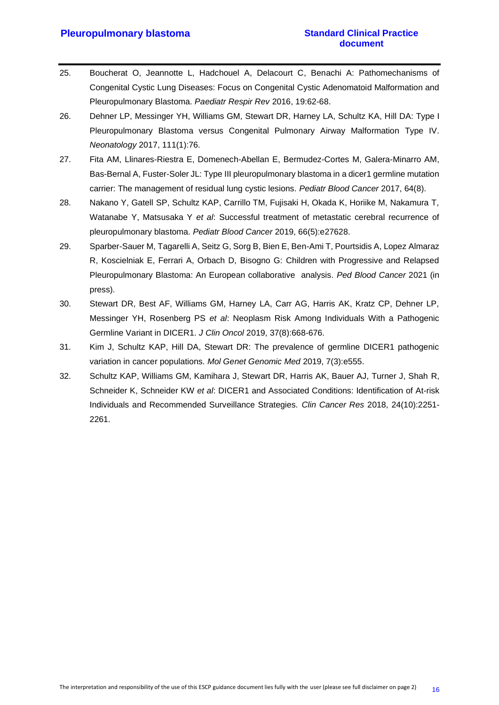#### **Pleuropulmonary blastoma Standard Clinical Practice**

- 25. Boucherat O, Jeannotte L, Hadchouel A, Delacourt C, Benachi A: Pathomechanisms of Congenital Cystic Lung Diseases: Focus on Congenital Cystic Adenomatoid Malformation and Pleuropulmonary Blastoma. *Paediatr Respir Rev* 2016, 19:62-68.
- 26. Dehner LP, Messinger YH, Williams GM, Stewart DR, Harney LA, Schultz KA, Hill DA: Type I Pleuropulmonary Blastoma versus Congenital Pulmonary Airway Malformation Type IV. *Neonatology* 2017, 111(1):76.
- 27. Fita AM, Llinares-Riestra E, Domenech-Abellan E, Bermudez-Cortes M, Galera-Minarro AM, Bas-Bernal A, Fuster-Soler JL: Type III pleuropulmonary blastoma in a dicer1 germline mutation carrier: The management of residual lung cystic lesions. *Pediatr Blood Cancer* 2017, 64(8).
- 28. Nakano Y, Gatell SP, Schultz KAP, Carrillo TM, Fujisaki H, Okada K, Horiike M, Nakamura T, Watanabe Y, Matsusaka Y *et al*: Successful treatment of metastatic cerebral recurrence of pleuropulmonary blastoma. *Pediatr Blood Cancer* 2019, 66(5):e27628.
- 29. Sparber-Sauer M, Tagarelli A, Seitz G, Sorg B, Bien E, Ben-Ami T, Pourtsidis A, Lopez Almaraz R, Koscielniak E, Ferrari A, Orbach D, Bisogno G: Children with Progressive and Relapsed Pleuropulmonary Blastoma: An European collaborative analysis. *Ped Blood Cancer* 2021 (in press).
- 30. Stewart DR, Best AF, Williams GM, Harney LA, Carr AG, Harris AK, Kratz CP, Dehner LP, Messinger YH, Rosenberg PS *et al*: Neoplasm Risk Among Individuals With a Pathogenic Germline Variant in DICER1. *J Clin Oncol* 2019, 37(8):668-676.
- 31. Kim J, Schultz KAP, Hill DA, Stewart DR: The prevalence of germline DICER1 pathogenic variation in cancer populations. *Mol Genet Genomic Med* 2019, 7(3):e555.
- 32. Schultz KAP, Williams GM, Kamihara J, Stewart DR, Harris AK, Bauer AJ, Turner J, Shah R, Schneider K, Schneider KW *et al*: DICER1 and Associated Conditions: Identification of At-risk Individuals and Recommended Surveillance Strategies. *Clin Cancer Res* 2018, 24(10):2251- 2261.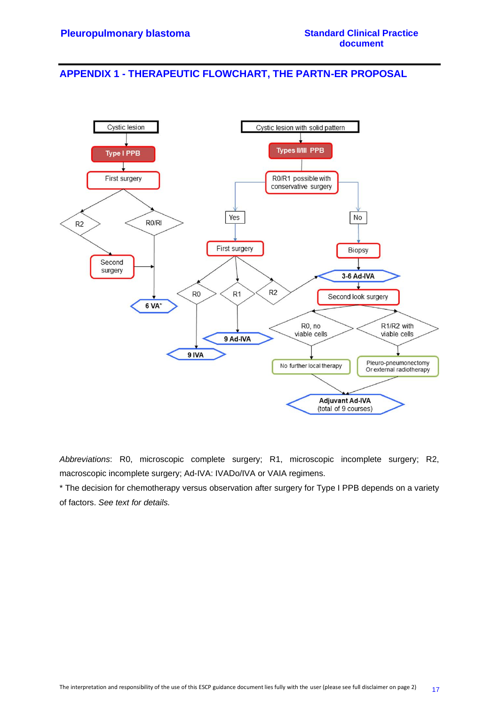## <span id="page-20-0"></span>**APPENDIX 1 - THERAPEUTIC FLOWCHART, THE PARTN-ER PROPOSAL**



*Abbreviations*: R0, microscopic complete surgery; R1, microscopic incomplete surgery; R2, macroscopic incomplete surgery; Ad-IVA: IVADo/IVA or VAIA regimens.

\* The decision for chemotherapy versus observation after surgery for Type I PPB depends on a variety of factors. *See text for details.*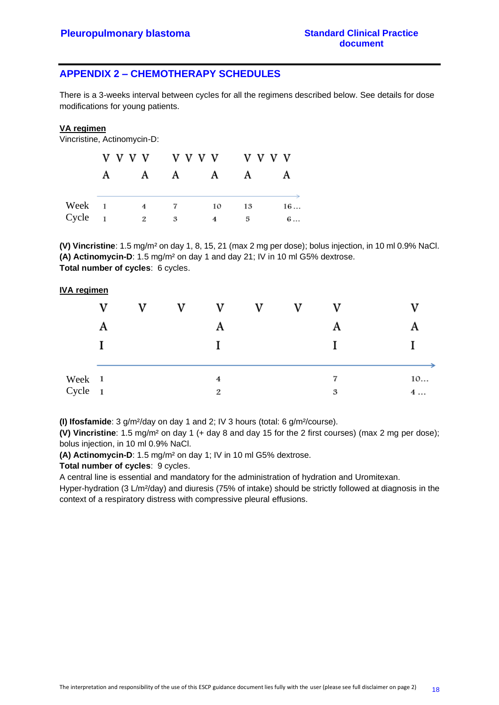# <span id="page-21-0"></span>**APPENDIX 2 – CHEMOTHERAPY SCHEDULES**

There is a 3-weeks interval between cycles for all the regimens described below. See details for dose modifications for young patients.

#### **VA regimen**

Vincristine, Actinomycin-D:

|        |   | V V V V        | v v v v        |              | v v v v |            |
|--------|---|----------------|----------------|--------------|---------|------------|
|        | A | $\mathbf A$    | $\mathbf{A}$   | $\mathbf{A}$ | A       | A          |
| Week 1 |   | 4              | $\overline{7}$ | 10           | 13      | 16         |
| Cycle  |   | $\mathfrak{D}$ | 3              | 4            | 5       | $6 \ldots$ |

**(V) Vincristine**: 1.5 mg/m² on day 1, 8, 15, 21 (max 2 mg per dose); bolus injection, in 10 ml 0.9% NaCl. **(A) Actinomycin-D**: 1.5 mg/m² on day 1 and day 21; IV in 10 ml G5% dextrose. **Total number of cycles**: 6 cycles.

#### **IVA regimen**

|         | V | v | v | v              | V | v |   |    |
|---------|---|---|---|----------------|---|---|---|----|
|         | A |   |   |                |   |   | A |    |
|         |   |   |   |                |   |   |   |    |
|         |   |   |   |                |   |   |   |    |
| Week 1  |   |   |   | $\overline{4}$ |   |   | 7 | 10 |
| Cycle 1 |   |   |   | 2              |   |   | 3 | 4  |

**(I) Ifosfamide**: 3 g/m²/day on day 1 and 2; IV 3 hours (total: 6 g/m²/course).

**(V) Vincristine**: 1.5 mg/m² on day 1 (+ day 8 and day 15 for the 2 first courses) (max 2 mg per dose); bolus injection, in 10 ml 0.9% NaCl.

**(A) Actinomycin-D**: 1.5 mg/m² on day 1; IV in 10 ml G5% dextrose.

**Total number of cycles**: 9 cycles.

A central line is essential and mandatory for the administration of hydration and Uromitexan.

Hyper-hydration (3 L/m²/day) and diuresis (75% of intake) should be strictly followed at diagnosis in the context of a respiratory distress with compressive pleural effusions.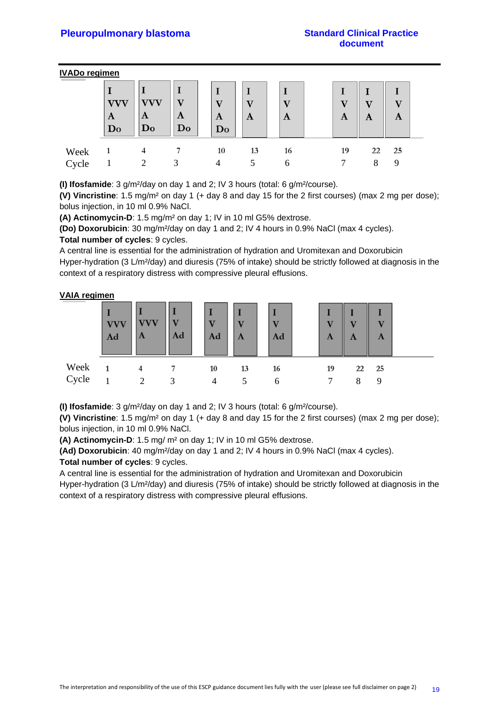#### **IVADo regimen**

|       | VVV<br>A<br>$\mathbf{Do}$ | A<br>Do | $\mathbf{A}$<br>Do | $\mathbf{v}$<br>$\mathbf{A}$<br>$\mathbf{D}\mathbf{o}$ | $\mathbf{A}$ | $\overline{r}$<br>$\mathbf{A}$ | 37<br>A | A | A     |  |
|-------|---------------------------|---------|--------------------|--------------------------------------------------------|--------------|--------------------------------|---------|---|-------|--|
| Week  |                           | 4       |                    | 10                                                     | 13           | 16                             | 19      |   | 22 25 |  |
| Cycle |                           |         |                    |                                                        |              | 6                              |         |   | Q     |  |

**(I) Ifosfamide**: 3 g/m²/day on day 1 and 2; IV 3 hours (total: 6 g/m²/course).

**(V) Vincristine**: 1.5 mg/m² on day 1 (+ day 8 and day 15 for the 2 first courses) (max 2 mg per dose); bolus injection, in 10 ml 0.9% NaCl.

**(A) Actinomycin-D**: 1.5 mg/m² on day 1; IV in 10 ml G5% dextrose.

**(Do) Doxorubicin**: 30 mg/m²/day on day 1 and 2; IV 4 hours in 0.9% NaCl (max 4 cycles).

#### **Total number of cycles**: 9 cycles.

A central line is essential for the administration of hydration and Uromitexan and Doxorubicin Hyper-hydration (3 L/m²/day) and diuresis (75% of intake) should be strictly followed at diagnosis in the context of a respiratory distress with compressive pleural effusions.

#### **VAIA regimen**

|       | <b>VVV</b><br>Ad | A | Ad                | $\overline{\mathbf{V}}$<br>Ad | A  | Ad           | T7<br>A | U<br>A | $\overline{\mathbf{V}}$<br>A |  |
|-------|------------------|---|-------------------|-------------------------------|----|--------------|---------|--------|------------------------------|--|
| Week  |                  |   |                   | 10                            | 13 | 16           | 19      | 22     | 25                           |  |
| Cycle |                  |   | $\mathbf{\Omega}$ | 4                             |    | $\mathsf{f}$ | ⇁       | Ջ      | 9                            |  |

**(I) Ifosfamide**: 3 g/m²/day on day 1 and 2; IV 3 hours (total: 6 g/m²/course).

**(V) Vincristine**: 1.5 mg/m² on day 1 (+ day 8 and day 15 for the 2 first courses) (max 2 mg per dose); bolus injection, in 10 ml 0.9% NaCl.

**(A) Actinomycin-D**: 1.5 mg/ m² on day 1; IV in 10 ml G5% dextrose.

**(Ad) Doxorubicin**: 40 mg/m²/day on day 1 and 2; IV 4 hours in 0.9% NaCl (max 4 cycles).

**Total number of cycles**: 9 cycles.

A central line is essential for the administration of hydration and Uromitexan and Doxorubicin

Hyper-hydration (3 L/m²/day) and diuresis (75% of intake) should be strictly followed at diagnosis in the context of a respiratory distress with compressive pleural effusions.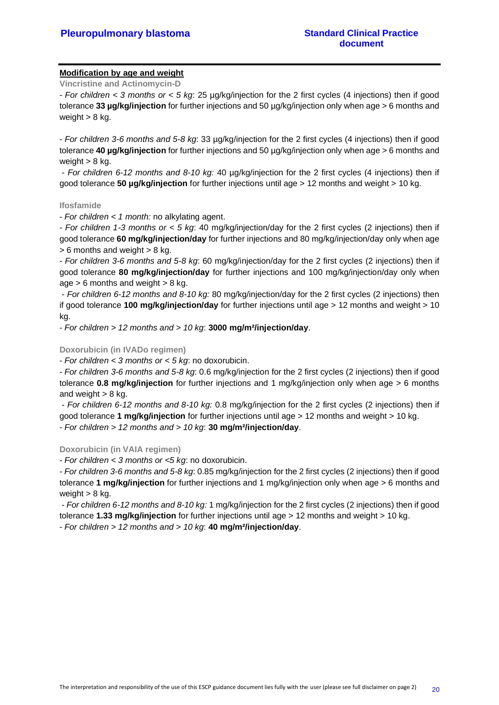#### **Modification by age and weight**

**Vincristine and Actinomycin-D**

- *For children < 3 months or < 5 kg*: 25 µg/kg/injection for the 2 first cycles (4 injections) then if good tolerance **33 µg/kg/injection** for further injections and 50 µg/kg/injection only when age > 6 months and weight  $> 8$  kg.

- *For children 3-6 months and 5-8 kg*: 33 µg/kg/injection for the 2 first cycles (4 injections) then if good tolerance **40 µg/kg/injection** for further injections and 50 µg/kg/injection only when age > 6 months and weight  $> 8$  kg.

- *For children 6-12 months and 8-10 kg:* 40 µg/kg/injection for the 2 first cycles (4 injections) then if good tolerance **50 µg/kg/injection** for further injections until age > 12 months and weight > 10 kg.

#### **Ifosfamide**

- *For children < 1 month:* no alkylating agent.

- *For children 1-3 months or < 5 kg*: 40 mg/kg/injection/day for the 2 first cycles (2 injections) then if good tolerance **60 mg/kg/injection/day** for further injections and 80 mg/kg/injection/day only when age  $> 6$  months and weight  $> 8$  kg.

- *For children 3-6 months and 5-8 kg*: 60 mg/kg/injection/day for the 2 first cycles (2 injections) then if good tolerance **80 mg/kg/injection/day** for further injections and 100 mg/kg/injection/day only when age  $> 6$  months and weight  $> 8$  kg.

- *For children 6-12 months and 8-10 kg:* 80 mg/kg/injection/day for the 2 first cycles (2 injections) then if good tolerance **100 mg/kg/injection/day** for further injections until age > 12 months and weight > 10 kg.

- *For children > 12 months and > 10 kg*: **3000 mg/m²/injection/day**.

#### **Doxorubicin (in IVADo regimen)**

- *For children < 3 months or < 5 kg*: no doxorubicin.

- *For children 3-6 months and 5-8 kg*: 0.6 mg/kg/injection for the 2 first cycles (2 injections) then if good tolerance **0.8 mg/kg/injection** for further injections and 1 mg/kg/injection only when age > 6 months and weight  $> 8$  kg.

- *For children 6-12 months and 8-10 kg:* 0.8 mg/kg/injection for the 2 first cycles (2 injections) then if good tolerance **1 mg/kg/injection** for further injections until age > 12 months and weight > 10 kg. - *For children > 12 months and > 10 kg*: **30 mg/m²/injection/day**.

#### **Doxorubicin (in VAIA regimen)**

*- For children < 3 months or <5 kg*: no doxorubicin.

- *For children 3-6 months and 5-8 kg*: 0.85 mg/kg/injection for the 2 first cycles (2 injections) then if good tolerance **1 mg/kg/injection** for further injections and 1 mg/kg/injection only when age > 6 months and weight  $> 8$  kg.

- *For children 6-12 months and 8-10 kg:* 1 mg/kg/injection for the 2 first cycles (2 injections) then if good tolerance **1.33 mg/kg/injection** for further injections until age > 12 months and weight > 10 kg.

- *For children > 12 months and > 10 kg*: **40 mg/m²/injection/day**.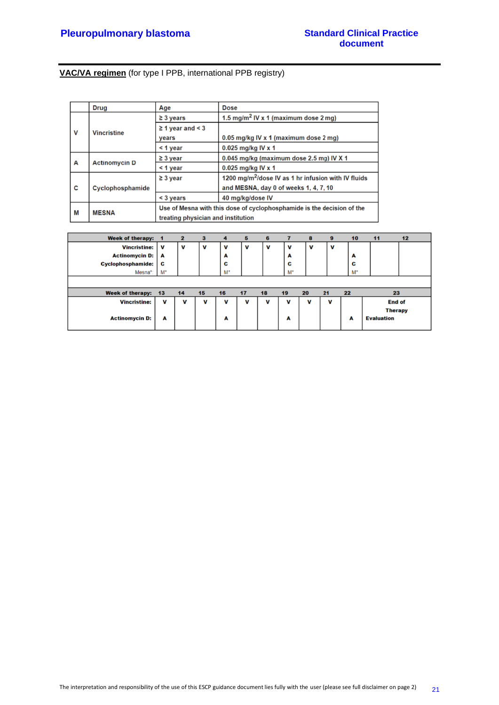# **VAC/VA regimen** (for type I PPB, international PPB registry)

|   | <b>Drug</b>          | Age                                                                    | <b>Dose</b>                                                     |  |  |  |  |  |
|---|----------------------|------------------------------------------------------------------------|-----------------------------------------------------------------|--|--|--|--|--|
|   |                      | $\geq$ 3 years                                                         | 1.5 mg/m <sup>2</sup> IV x 1 (maximum dose 2 mg)                |  |  |  |  |  |
| V | <b>Vincristine</b>   | $\geq 1$ year and < 3                                                  |                                                                 |  |  |  |  |  |
|   |                      | vears                                                                  | 0.05 mg/kg IV x 1 (maximum dose 2 mg)                           |  |  |  |  |  |
|   |                      | $<$ 1 year                                                             | $0.025$ mg/kg IV x 1                                            |  |  |  |  |  |
|   |                      | $\geq$ 3 year                                                          | 0.045 mg/kg (maximum dose 2.5 mg) IV X 1                        |  |  |  |  |  |
| А | <b>Actinomycin D</b> | $<$ 1 year                                                             | 0.025 mg/kg IV x 1                                              |  |  |  |  |  |
|   |                      | $\geq$ 3 year                                                          | 1200 mg/m <sup>2</sup> /dose IV as 1 hr infusion with IV fluids |  |  |  |  |  |
| C | Cyclophosphamide     |                                                                        | and MESNA, day 0 of weeks 1, 4, 7, 10                           |  |  |  |  |  |
|   |                      | $3 years$                                                              | 40 mg/kg/dose IV                                                |  |  |  |  |  |
| М | <b>MESNA</b>         | Use of Mesna with this dose of cyclophosphamide is the decision of the |                                                                 |  |  |  |  |  |
|   |                      | treating physician and institution                                     |                                                                 |  |  |  |  |  |

| <b>Week of therapy:</b>  |       | 2  | з  | 4  | 5  | 6  |                | 8  | 9  | 10    | 11                | 12 |
|--------------------------|-------|----|----|----|----|----|----------------|----|----|-------|-------------------|----|
| <b>Vincristine:</b>      | V     | v  | V  | v  | v  | v  | v              | v  | V  |       |                   |    |
| <b>Actinomycin D:</b>    | A     |    |    | A  |    |    | A              |    |    | A     |                   |    |
| <b>Cyclophosphamide:</b> | C     |    |    | c  |    |    | C              |    |    | C     |                   |    |
| Mesna*:                  | $M^*$ |    |    | M* |    |    | M <sup>*</sup> |    |    | $M^*$ |                   |    |
|                          |       |    |    |    |    |    |                |    |    |       |                   |    |
| <b>Week of therapy:</b>  | 13    | 14 | 15 | 16 | 17 | 18 | 19             | 20 | 21 | 22    | 23                |    |
| <b>Vincristine:</b>      | v     | V  | V  | v  | V  | v  | v              | v  | V  |       | <b>End of</b>     |    |
|                          |       |    |    |    |    |    |                |    |    |       | <b>Therapy</b>    |    |
| <b>Actinomycin D:</b>    | A     |    |    | A  |    |    | A              |    |    | A     | <b>Evaluation</b> |    |
|                          |       |    |    |    |    |    |                |    |    |       |                   |    |